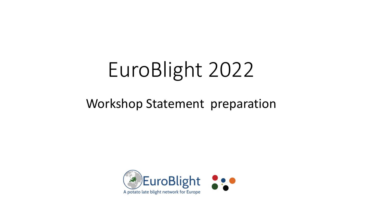# EuroBlight 2022

#### Workshop Statement preparation

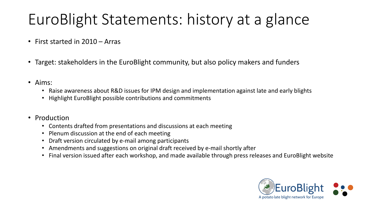# EuroBlight Statements: history at a glance

- First started in 2010 Arras
- Target: stakeholders in the EuroBlight community, but also policy makers and funders
- Aims:
	- Raise awareness about R&D issues for IPM design and implementation against late and early blights
	- Highlight EuroBlight possible contributions and commitments
- Production
	- Contents drafted from presentations and discussions at each meeting
	- Plenum discussion at the end of each meeting
	- Draft version circulated by e-mail among participants
	- Amendments and suggestions on original draft received by e-mail shortly after
	- Final version issued after each workshop, and made available through press releases and EuroBlight website

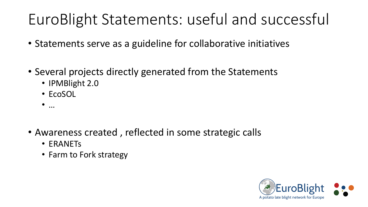# EuroBlight Statements: useful and successful

- Statements serve as a guideline for collaborative initiatives
- Several projects directly generated from the Statements
	- IPMBlight 2.0
	- EcoSOL
	- $\bullet$  …
- Awareness created , reflected in some strategic calls
	- ERANETs
	- Farm to Fork strategy

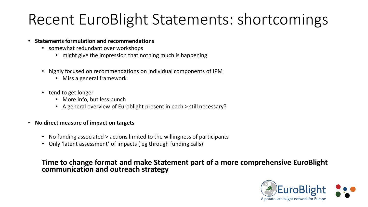### Recent EuroBlight Statements: shortcomings

- **Statements formulation and recommendations**
	- somewhat redundant over workshops
		- might give the impression that nothing much is happening
	- highly focused on recommendations on individual components of IPM
		- Miss a general framework
	- tend to get longer
		- More info, but less punch
		- A general overview of Euroblight present in each > still necessary?
- **No direct measure of impact on targets**
	- No funding associated > actions limited to the willingness of participants
	- Only 'latent assessment' of impacts ( eg through funding calls)

#### **Time to change format and make Statement part of a more comprehensive EuroBlight communication and outreach strategy**

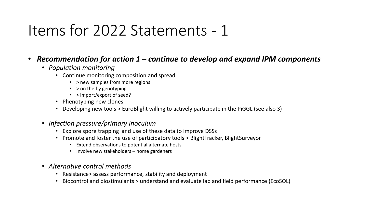#### • *Recommendation for action 1 – continue to develop and expand IPM components*

- *Population monitoring* 
	- Continue monitoring composition and spread
		- > new samples from more regions
		- > on the fly genotyping
		- > import/export of seed?
	- Phenotyping new clones
	- Developing new tools > EuroBlight willing to actively participate in the PiGGL (see also 3)
- *Infection pressure/primary inoculum*
	- Explore spore trapping and use of these data to improve DSSs
	- Promote and foster the use of participatory tools > BlightTracker, BlightSurveyor
		- Extend observations to potential alternate hosts
		- Involve new stakeholders home gardeners
- *Alternative control methods*
	- Resistance> assess performance, stability and deployment
	- Biocontrol and biostimulants > understand and evaluate lab and field performance (EcoSOL)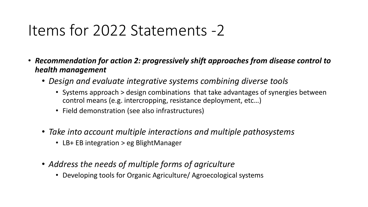- *Recommendation for action 2: progressively shift approaches from disease control to health management*
	- *Design and evaluate integrative systems combining diverse tools*
		- Systems approach > design combinations that take advantages of synergies between control means (e.g. intercropping, resistance deployment, etc…)
		- Field demonstration (see also infrastructures)
	- *Take into account multiple interactions and multiple pathosystems*
		- LB+ EB integration > eg BlightManager
	- *Address the needs of multiple forms of agriculture*
		- Developing tools for Organic Agriculture/ Agroecological systems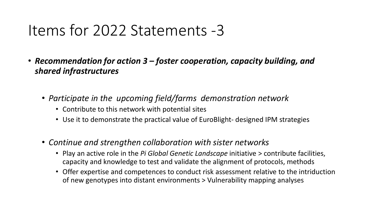- *Recommendation for action 3 – foster cooperation, capacity building, and shared infrastructures* 
	- *Participate in the upcoming field/farms demonstration network* 
		- Contribute to this network with potential sites
		- Use it to demonstrate the practical value of EuroBlight- designed IPM strategies
	- *Continue and strengthen collaboration with sister networks*
		- Play an active role in the *Pi Global Genetic Landscape* initiative > contribute facilities, capacity and knowledge to test and validate the alignment of protocols, methods
		- Offer expertise and competences to conduct risk assessment relative to the intriduction of new genotypes into distant environments > Vulnerability mapping analyses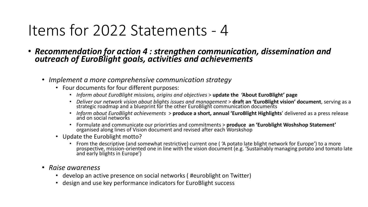- *Recommendation for action 4 : strengthen communication, dissemination and outreach of EuroBlight goals, activities and achievements*
	- *Implement a more comprehensive communication strategy*
		- Four documents for four different purposes:
			- *Inform about EuroBlight missions, origins and objectives* > **update the 'About EuroBlight' page**
			- *Deliver our network vision about blights issues and management* > **draft an 'EuroBlight vision' document**, serving as a strategic roadmap and a blueprint for the other EuroBlight communication documents
			- *Inform about EuroBlight achievements* > **produce a short, annual 'EuroBlight Highlights**' delivered as a press release and on social networks
			- Formulate and communicate our priorirties and commitments <sup>&</sup>gt;**produce an 'Euroblight Woshshop Statement'** organised along lines of Vision document and revised after each Worskshop
		- Update the Euroblight motto?
			- From the descriptive (and somewhat restrictive) current one ( 'A potato late blight network for Europe') to a more prospective, mission-oriented one in line with the vision document (e.g. 'Sustainably managing potato and tomato late and early blights in Europe')
	- *Raise awareness*
		- develop an active presence on social networks ( #euroblight on Twitter)
		- design and use key performance indicators for EuroBlight success